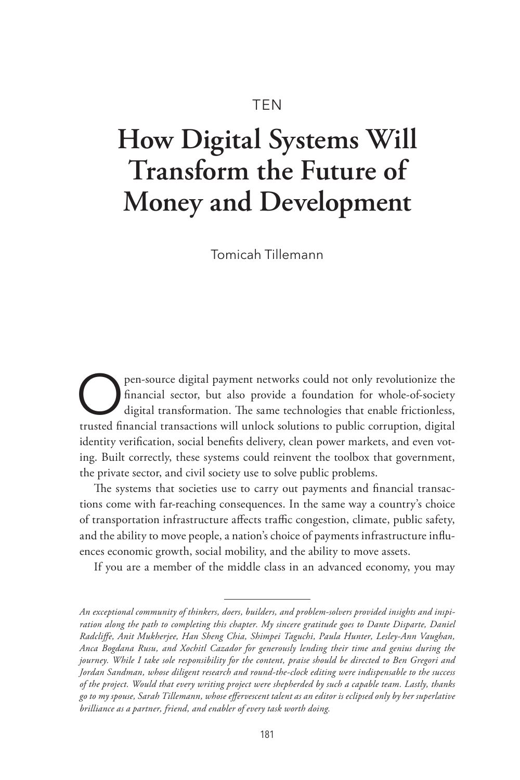# TEN

# **How Digital Systems Will Transform the Future of Money and Development**

Tomicah Tillemann

**O** pen-source digital payment networks could not only revolutionize the financial sector, but also provide a foundation for whole-of-society digital transformation. The same technologies that enable frictionless, financial sector, but also provide a foundation for whole-of-society digital transformation. The same technologies that enable frictionless, trusted financial transactions will unlock solutions to public corruption, digital identity verification, social benefits delivery, clean power markets, and even voting. Built correctly, these systems could reinvent the toolbox that government, the private sector, and civil society use to solve public problems.

The systems that societies use to carry out payments and financial transactions come with far-reaching consequences. In the same way a country's choice of transportation infrastructure affects traffic congestion, climate, public safety, and the ability to move people, a nation's choice of payments infrastructure influences economic growth, social mobility, and the ability to move assets.

If you are a member of the middle class in an advanced economy, you may

*An exceptional community of thinkers, doers, builders, and problem-solvers provided insights and inspiration along the path to completing this chapter. My sincere gratitude goes to Dante Disparte, Daniel Radcliffe, Anit Mukherjee, Han Sheng Chia, Shimpei Taguchi, Paula Hunter, Lesley-Ann Vaughan, Anca Bogdana Rusu, and Xochitl Cazador for generously lending their time and genius during the journey. While I take sole responsibility for the content, praise should be directed to Ben Gregori and Jordan Sandman, whose diligent research and round-the-clock editing were indispensable to the success of the project. Would that every writing project were shepherded by such a capable team. Lastly, thanks go to my spouse, Sarah Tillemann, whose effervescent talent as an editor is eclipsed only by her superlative brilliance as a partner, friend, and enabler of every task worth doing.*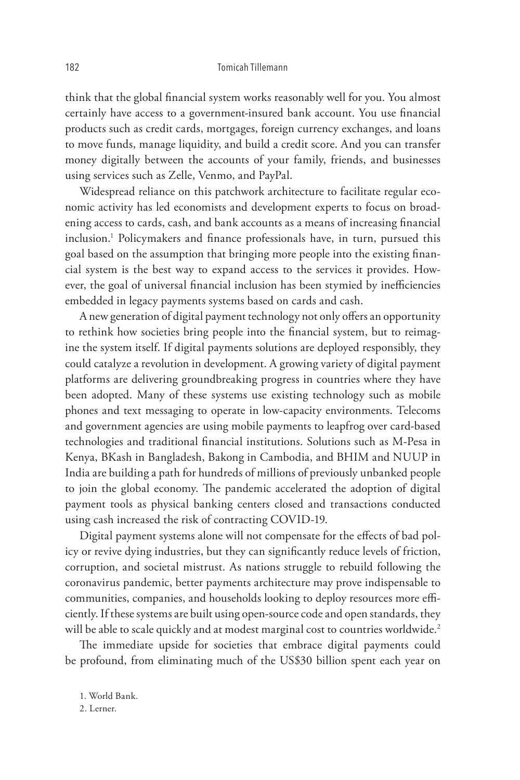think that the global financial system works reasonably well for you. You almost certainly have access to a government-insured bank account. You use financial products such as credit cards, mortgages, foreign currency exchanges, and loans to move funds, manage liquidity, and build a credit score. And you can transfer money digitally between the accounts of your family, friends, and businesses using services such as Zelle, Venmo, and PayPal.

Widespread reliance on this patchwork architecture to facilitate regular economic activity has led economists and development experts to focus on broadening access to cards, cash, and bank accounts as a means of increasing financial inclusion.1 Policymakers and finance professionals have, in turn, pursued this goal based on the assumption that bringing more people into the existing financial system is the best way to expand access to the services it provides. However, the goal of universal financial inclusion has been stymied by inefficiencies embedded in legacy payments systems based on cards and cash.

A new generation of digital payment technology not only offers an opportunity to rethink how societies bring people into the financial system, but to reimagine the system itself. If digital payments solutions are deployed responsibly, they could catalyze a revolution in development. A growing variety of digital payment platforms are delivering groundbreaking progress in countries where they have been adopted. Many of these systems use existing technology such as mobile phones and text messaging to operate in low-capacity environments. Telecoms and government agencies are using mobile payments to leapfrog over card-based technologies and traditional financial institutions. Solutions such as M-Pesa in Kenya, BKash in Bangladesh, Bakong in Cambodia, and BHIM and NUUP in India are building a path for hundreds of millions of previously unbanked people to join the global economy. The pandemic accelerated the adoption of digital payment tools as physical banking centers closed and transactions conducted using cash increased the risk of contracting COVID-19.

Digital payment systems alone will not compensate for the effects of bad policy or revive dying industries, but they can significantly reduce levels of friction, corruption, and societal mistrust. As nations struggle to rebuild following the coronavirus pandemic, better payments architecture may prove indispensable to communities, companies, and households looking to deploy resources more efficiently. If these systems are built using open-source code and open standards, they will be able to scale quickly and at modest marginal cost to countries worldwide.<sup>2</sup>

The immediate upside for societies that embrace digital payments could be profound, from eliminating much of the US\$30 billion spent each year on

1. World Bank.

2. Lerner.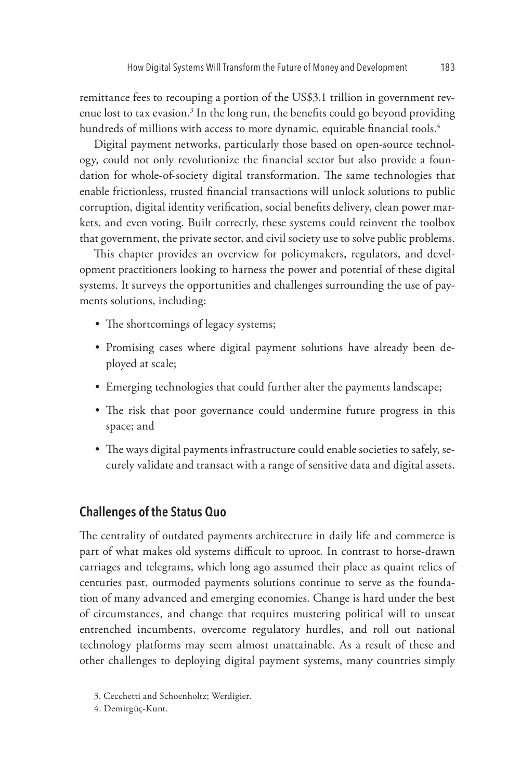remittance fees to recouping a portion of the US\$3.1 trillion in government revenue lost to tax evasion.<sup>3</sup> In the long run, the benefits could go beyond providing hundreds of millions with access to more dynamic, equitable financial tools.<sup>4</sup>

Digital payment networks, particularly those based on open-source technology, could not only revolutionize the financial sector but also provide a foundation for whole-of-society digital transformation. The same technologies that enable frictionless, trusted financial transactions will unlock solutions to public corruption, digital identity verification, social benefits delivery, clean power markets, and even voting. Built correctly, these systems could reinvent the toolbox that government, the private sector, and civil society use to solve public problems.

This chapter provides an overview for policymakers, regulators, and development practitioners looking to harness the power and potential of these digital systems. It surveys the opportunities and challenges surrounding the use of payments solutions, including:

- The shortcomings of legacy systems;
- Promising cases where digital payment solutions have already been deployed at scale;
- Emerging technologies that could further alter the payments landscape;
- The risk that poor governance could undermine future progress in this space; and
- The ways digital payments infrastructure could enable societies to safely, securely validate and transact with a range of sensitive data and digital assets.

## **Challenges of the Status Quo**

The centrality of outdated payments architecture in daily life and commerce is part of what makes old systems difficult to uproot. In contrast to horse-drawn carriages and telegrams, which long ago assumed their place as quaint relics of centuries past, outmoded payments solutions continue to serve as the foundation of many advanced and emerging economies. Change is hard under the best of circumstances, and change that requires mustering political will to unseat entrenched incumbents, overcome regulatory hurdles, and roll out national technology platforms may seem almost unattainable. As a result of these and other challenges to deploying digital payment systems, many countries simply

<sup>3.</sup> Cecchetti and Schoenholtz; Werdigier.

<sup>4.</sup> Demirgüç-Kunt.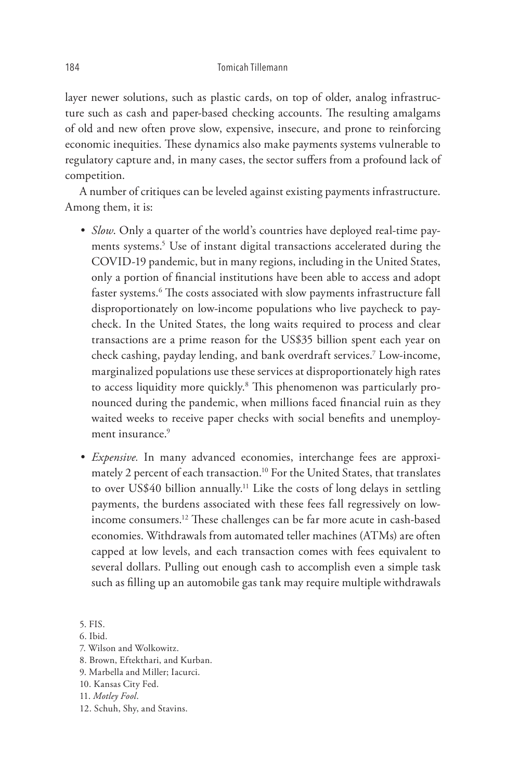layer newer solutions, such as plastic cards, on top of older, analog infrastructure such as cash and paper-based checking accounts. The resulting amalgams of old and new often prove slow, expensive, insecure, and prone to reinforcing economic inequities. These dynamics also make payments systems vulnerable to regulatory capture and, in many cases, the sector suffers from a profound lack of competition.

A number of critiques can be leveled against existing payments infrastructure. Among them, it is:

- *Slow*. Only a quarter of the world's countries have deployed real-time payments systems.5 Use of instant digital transactions accelerated during the COVID-19 pandemic, but in many regions, including in the United States, only a portion of financial institutions have been able to access and adopt faster systems.6 The costs associated with slow payments infrastructure fall disproportionately on low-income populations who live paycheck to paycheck. In the United States, the long waits required to process and clear transactions are a prime reason for the US\$35 billion spent each year on check cashing, payday lending, and bank overdraft services.7 Low-income, marginalized populations use these services at disproportionately high rates to access liquidity more quickly.<sup>8</sup> This phenomenon was particularly pronounced during the pandemic, when millions faced financial ruin as they waited weeks to receive paper checks with social benefits and unemployment insurance.<sup>9</sup>
- *Expensive.* In many advanced economies, interchange fees are approximately 2 percent of each transaction.<sup>10</sup> For the United States, that translates to over US\$40 billion annually.11 Like the costs of long delays in settling payments, the burdens associated with these fees fall regressively on lowincome consumers.12 These challenges can be far more acute in cash-based economies. Withdrawals from automated teller machines (ATMs) are often capped at low levels, and each transaction comes with fees equivalent to several dollars. Pulling out enough cash to accomplish even a simple task such as filling up an automobile gas tank may require multiple withdrawals

- 8. Brown, Eftekthari, and Kurban.
- 9. Marbella and Miller; Iacurci.
- 10. Kansas City Fed.

12. Schuh, Shy, and Stavins.

<sup>5.</sup> FIS.

<sup>6.</sup> Ibid.

<sup>7.</sup> Wilson and Wolkowitz.

<sup>11.</sup> *Motley Fool*.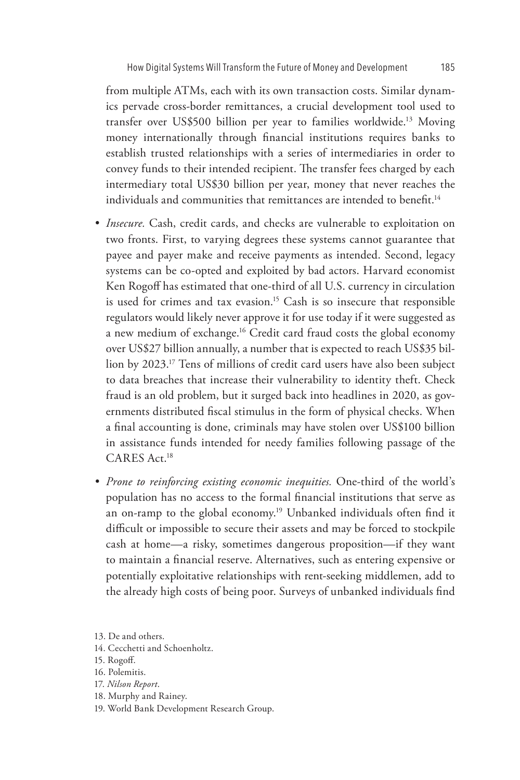from multiple ATMs, each with its own transaction costs. Similar dynamics pervade cross-border remittances, a crucial development tool used to transfer over US\$500 billion per year to families worldwide.<sup>13</sup> Moving money internationally through financial institutions requires banks to establish trusted relationships with a series of intermediaries in order to convey funds to their intended recipient. The transfer fees charged by each intermediary total US\$30 billion per year, money that never reaches the individuals and communities that remittances are intended to benefit.<sup>14</sup>

- *Insecure.* Cash, credit cards, and checks are vulnerable to exploitation on two fronts. First, to varying degrees these systems cannot guarantee that payee and payer make and receive payments as intended. Second, legacy systems can be co-opted and exploited by bad actors. Harvard economist Ken Rogoff has estimated that one-third of all U.S. currency in circulation is used for crimes and tax evasion.<sup>15</sup> Cash is so insecure that responsible regulators would likely never approve it for use today if it were suggested as a new medium of exchange.<sup>16</sup> Credit card fraud costs the global economy over US\$27 billion annually, a number that is expected to reach US\$35 billion by 2023.17 Tens of millions of credit card users have also been subject to data breaches that increase their vulnerability to identity theft. Check fraud is an old problem, but it surged back into headlines in 2020, as governments distributed fiscal stimulus in the form of physical checks. When a final accounting is done, criminals may have stolen over US\$100 billion in assistance funds intended for needy families following passage of the CARES Act.18
- *Prone to reinforcing existing economic inequities.* One-third of the world's population has no access to the formal financial institutions that serve as an on-ramp to the global economy.19 Unbanked individuals often find it difficult or impossible to secure their assets and may be forced to stockpile cash at home—a risky, sometimes dangerous proposition—if they want to maintain a financial reserve. Alternatives, such as entering expensive or potentially exploitative relationships with rent-seeking middlemen, add to the already high costs of being poor. Surveys of unbanked individuals find

- 14. Cecchetti and Schoenholtz.
- 15. Rogoff.
- 16. Polemitis.
- 17. *Nilson Report*.
- 18. Murphy and Rainey.
- 19. World Bank Development Research Group.

<sup>13.</sup> De and others.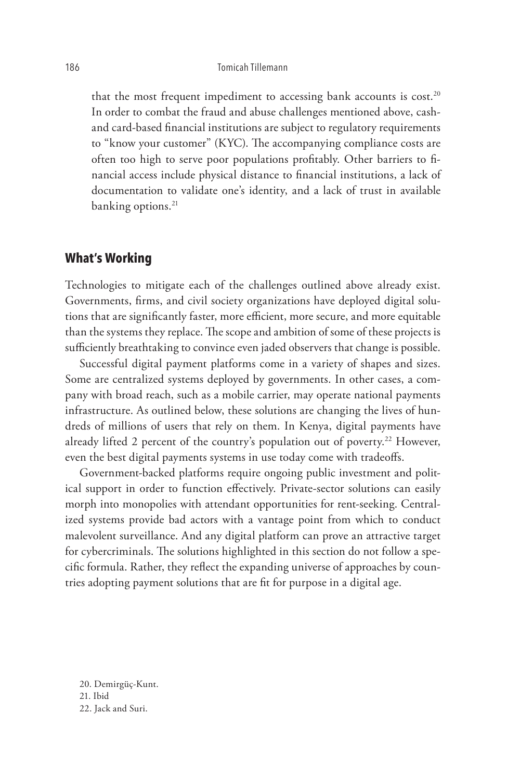that the most frequent impediment to accessing bank accounts is cost.<sup>20</sup> In order to combat the fraud and abuse challenges mentioned above, cashand card-based financial institutions are subject to regulatory requirements to "know your customer" (KYC). The accompanying compliance costs are often too high to serve poor populations profitably. Other barriers to financial access include physical distance to financial institutions, a lack of documentation to validate one's identity, and a lack of trust in available banking options.<sup>21</sup>

## **What's Working**

Technologies to mitigate each of the challenges outlined above already exist. Governments, firms, and civil society organizations have deployed digital solutions that are significantly faster, more efficient, more secure, and more equitable than the systems they replace. The scope and ambition of some of these projects is sufficiently breathtaking to convince even jaded observers that change is possible.

Successful digital payment platforms come in a variety of shapes and sizes. Some are centralized systems deployed by governments. In other cases, a company with broad reach, such as a mobile carrier, may operate national payments infrastructure. As outlined below, these solutions are changing the lives of hundreds of millions of users that rely on them. In Kenya, digital payments have already lifted 2 percent of the country's population out of poverty.<sup>22</sup> However, even the best digital payments systems in use today come with tradeoffs.

Government-backed platforms require ongoing public investment and political support in order to function effectively. Private-sector solutions can easily morph into monopolies with attendant opportunities for rent-seeking. Centralized systems provide bad actors with a vantage point from which to conduct malevolent surveillance. And any digital platform can prove an attractive target for cybercriminals. The solutions highlighted in this section do not follow a specific formula. Rather, they reflect the expanding universe of approaches by countries adopting payment solutions that are fit for purpose in a digital age.

20. Demirgüç-Kunt. 21. Ibid 22. Jack and Suri.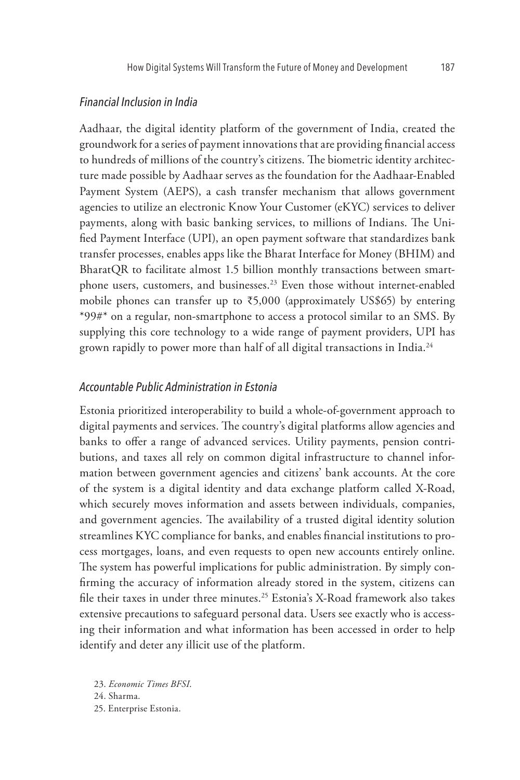#### *Financial Inclusion in India*

Aadhaar, the digital identity platform of the government of India, created the groundwork for a series of payment innovations that are providing financial access to hundreds of millions of the country's citizens. The biometric identity architecture made possible by Aadhaar serves as the foundation for the Aadhaar-Enabled Payment System (AEPS), a cash transfer mechanism that allows government agencies to utilize an electronic Know Your Customer (eKYC) services to deliver payments, along with basic banking services, to millions of Indians. The Unified Payment Interface (UPI), an open payment software that standardizes bank transfer processes, enables apps like the Bharat Interface for Money (BHIM) and BharatQR to facilitate almost 1.5 billion monthly transactions between smartphone users, customers, and businesses.<sup>23</sup> Even those without internet-enabled mobile phones can transfer up to  $\overline{5,000}$  (approximately US\$65) by entering \*99#\* on a regular, non-smartphone to access a protocol similar to an SMS. By supplying this core technology to a wide range of payment providers, UPI has grown rapidly to power more than half of all digital transactions in India.<sup>24</sup>

### *Accountable Public Administration in Estonia*

Estonia prioritized interoperability to build a whole-of-government approach to digital payments and services. The country's digital platforms allow agencies and banks to offer a range of advanced services. Utility payments, pension contributions, and taxes all rely on common digital infrastructure to channel information between government agencies and citizens' bank accounts. At the core of the system is a digital identity and data exchange platform called X-Road, which securely moves information and assets between individuals, companies, and government agencies. The availability of a trusted digital identity solution streamlines KYC compliance for banks, and enables financial institutions to process mortgages, loans, and even requests to open new accounts entirely online. The system has powerful implications for public administration. By simply confirming the accuracy of information already stored in the system, citizens can file their taxes in under three minutes.<sup>25</sup> Estonia's X-Road framework also takes extensive precautions to safeguard personal data. Users see exactly who is accessing their information and what information has been accessed in order to help identify and deter any illicit use of the platform.

23. *Economic Times BFSI*.

24. Sharma.

25. Enterprise Estonia.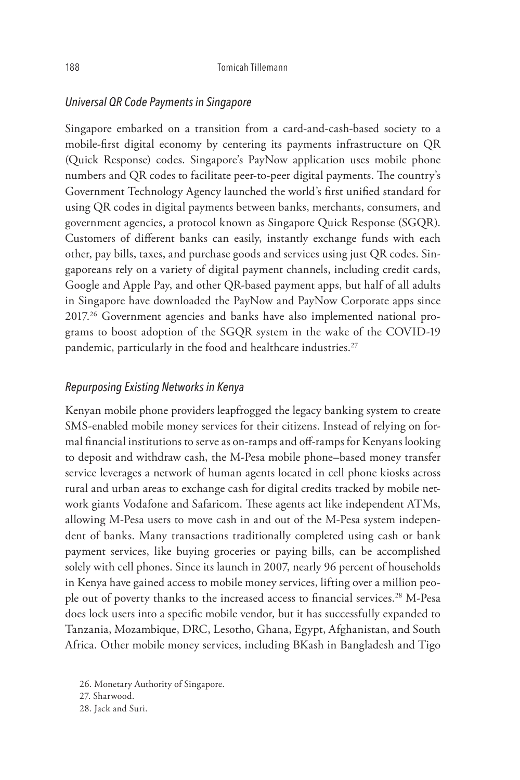#### *Universal QR Code Payments in Singapore*

Singapore embarked on a transition from a card-and-cash-based society to a mobile-first digital economy by centering its payments infrastructure on QR (Quick Response) codes. Singapore's PayNow application uses mobile phone numbers and QR codes to facilitate peer-to-peer digital payments. The country's Government Technology Agency launched the world's first unified standard for using QR codes in digital payments between banks, merchants, consumers, and government agencies, a protocol known as Singapore Quick Response (SGQR). Customers of different banks can easily, instantly exchange funds with each other, pay bills, taxes, and purchase goods and services using just QR codes. Singaporeans rely on a variety of digital payment channels, including credit cards, Google and Apple Pay, and other QR-based payment apps, but half of all adults in Singapore have downloaded the PayNow and PayNow Corporate apps since 2017.26 Government agencies and banks have also implemented national programs to boost adoption of the SGQR system in the wake of the COVID-19 pandemic, particularly in the food and healthcare industries.<sup>27</sup>

#### *Repurposing Existing Networks in Kenya*

Kenyan mobile phone providers leapfrogged the legacy banking system to create SMS-enabled mobile money services for their citizens. Instead of relying on formal financial institutions to serve as on-ramps and off-ramps for Kenyans looking to deposit and withdraw cash, the M-Pesa mobile phone–based money transfer service leverages a network of human agents located in cell phone kiosks across rural and urban areas to exchange cash for digital credits tracked by mobile network giants Vodafone and Safaricom. These agents act like independent ATMs, allowing M-Pesa users to move cash in and out of the M-Pesa system independent of banks. Many transactions traditionally completed using cash or bank payment services, like buying groceries or paying bills, can be accomplished solely with cell phones. Since its launch in 2007, nearly 96 percent of households in Kenya have gained access to mobile money services, lifting over a million people out of poverty thanks to the increased access to financial services.<sup>28</sup> M-Pesa does lock users into a specific mobile vendor, but it has successfully expanded to Tanzania, Mozambique, DRC, Lesotho, Ghana, Egypt, Afghanistan, and South Africa. Other mobile money services, including BKash in Bangladesh and Tigo

26. Monetary Authority of Singapore.

28. Jack and Suri.

<sup>27.</sup> Sharwood.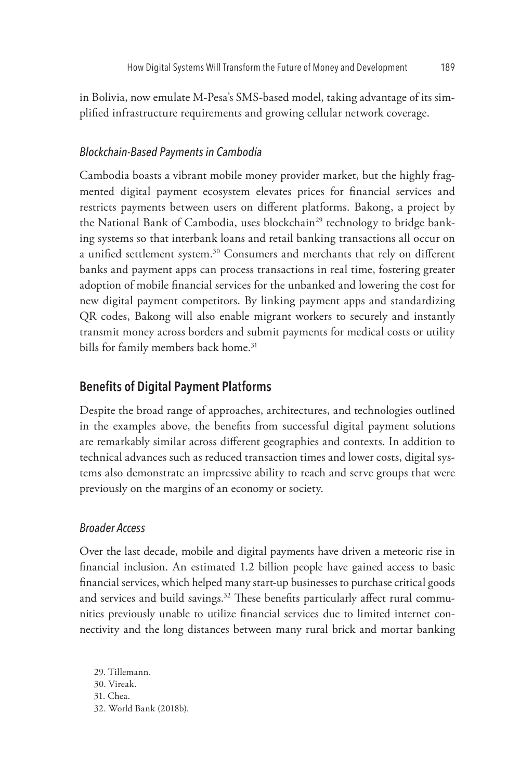in Bolivia, now emulate M-Pesa's SMS-based model, taking advantage of its simplified infrastructure requirements and growing cellular network coverage.

## *Blockchain-Based Payments in Cambodia*

Cambodia boasts a vibrant mobile money provider market, but the highly fragmented digital payment ecosystem elevates prices for financial services and restricts payments between users on different platforms. Bakong, a project by the National Bank of Cambodia, uses blockchain<sup>29</sup> technology to bridge banking systems so that interbank loans and retail banking transactions all occur on a unified settlement system.<sup>30</sup> Consumers and merchants that rely on different banks and payment apps can process transactions in real time, fostering greater adoption of mobile financial services for the unbanked and lowering the cost for new digital payment competitors. By linking payment apps and standardizing QR codes, Bakong will also enable migrant workers to securely and instantly transmit money across borders and submit payments for medical costs or utility bills for family members back home.<sup>31</sup>

## **Benefits of Digital Payment Platforms**

Despite the broad range of approaches, architectures, and technologies outlined in the examples above, the benefits from successful digital payment solutions are remarkably similar across different geographies and contexts. In addition to technical advances such as reduced transaction times and lower costs, digital systems also demonstrate an impressive ability to reach and serve groups that were previously on the margins of an economy or society.

## *Broader Access*

Over the last decade, mobile and digital payments have driven a meteoric rise in financial inclusion. An estimated 1.2 billion people have gained access to basic financial services, which helped many start-up businesses to purchase critical goods and services and build savings.<sup>32</sup> These benefits particularly affect rural communities previously unable to utilize financial services due to limited internet connectivity and the long distances between many rural brick and mortar banking

29. Tillemann. 30. Vireak. 31. Chea. 32. World Bank (2018b).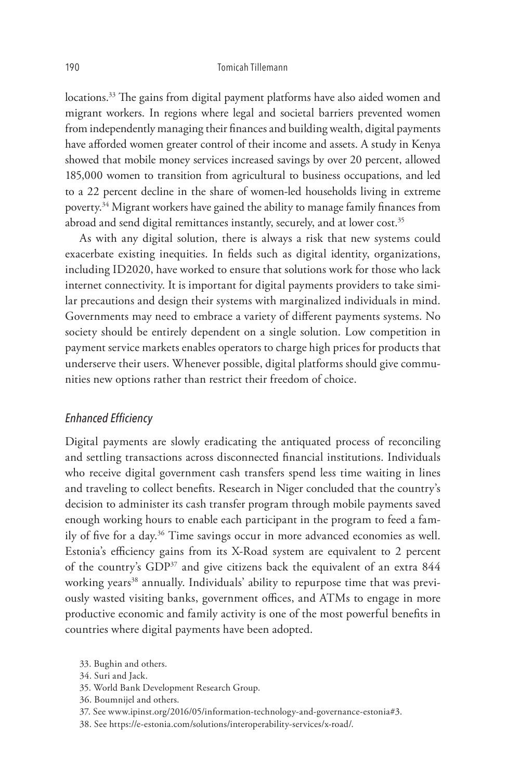locations.<sup>33</sup> The gains from digital payment platforms have also aided women and migrant workers. In regions where legal and societal barriers prevented women from independently managing their finances and building wealth, digital payments have afforded women greater control of their income and assets. A study in Kenya showed that mobile money services increased savings by over 20 percent, allowed 185,000 women to transition from agricultural to business occupations, and led to a 22 percent decline in the share of women-led households living in extreme poverty.<sup>34</sup> Migrant workers have gained the ability to manage family finances from abroad and send digital remittances instantly, securely, and at lower cost.<sup>35</sup>

As with any digital solution, there is always a risk that new systems could exacerbate existing inequities. In fields such as digital identity, organizations, including ID2020, have worked to ensure that solutions work for those who lack internet connectivity. It is important for digital payments providers to take similar precautions and design their systems with marginalized individuals in mind. Governments may need to embrace a variety of different payments systems. No society should be entirely dependent on a single solution. Low competition in payment service markets enables operators to charge high prices for products that underserve their users. Whenever possible, digital platforms should give communities new options rather than restrict their freedom of choice.

#### *Enhanced Efficiency*

Digital payments are slowly eradicating the antiquated process of reconciling and settling transactions across disconnected financial institutions. Individuals who receive digital government cash transfers spend less time waiting in lines and traveling to collect benefits. Research in Niger concluded that the country's decision to administer its cash transfer program through mobile payments saved enough working hours to enable each participant in the program to feed a family of five for a day.36 Time savings occur in more advanced economies as well. Estonia's efficiency gains from its X-Road system are equivalent to 2 percent of the country's GDP<sup>37</sup> and give citizens back the equivalent of an extra 844 working years<sup>38</sup> annually. Individuals' ability to repurpose time that was previously wasted visiting banks, government offices, and ATMs to engage in more productive economic and family activity is one of the most powerful benefits in countries where digital payments have been adopted.

- 35. World Bank Development Research Group.
- 36. Boumnijel and others.
- 37. See www.ipinst.org/2016/05/information-technology-and-governance-estonia#3.
- 38. See https://e-estonia.com/solutions/interoperability-services/x-road/.

<sup>33.</sup> Bughin and others.

<sup>34.</sup> Suri and Jack.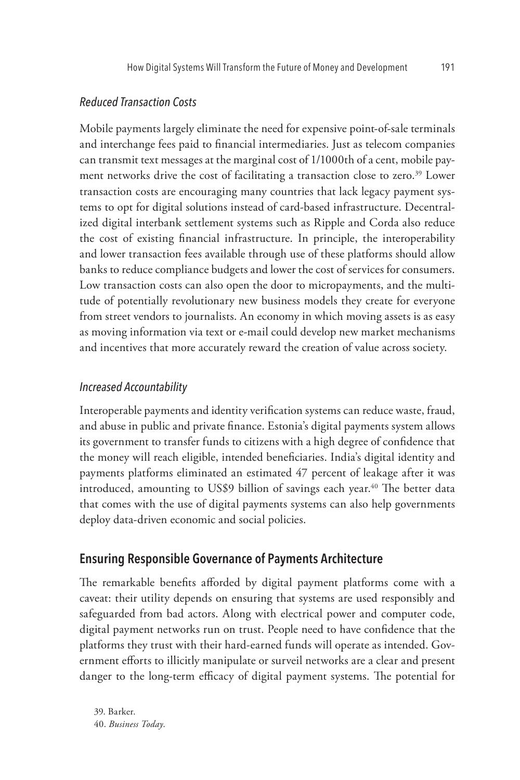#### *Reduced Transaction Costs*

Mobile payments largely eliminate the need for expensive point-of-sale terminals and interchange fees paid to financial intermediaries. Just as telecom companies can transmit text messages at the marginal cost of 1/1000th of a cent, mobile payment networks drive the cost of facilitating a transaction close to zero.<sup>39</sup> Lower transaction costs are encouraging many countries that lack legacy payment systems to opt for digital solutions instead of card-based infrastructure. Decentralized digital interbank settlement systems such as Ripple and Corda also reduce the cost of existing financial infrastructure. In principle, the interoperability and lower transaction fees available through use of these platforms should allow banks to reduce compliance budgets and lower the cost of services for consumers. Low transaction costs can also open the door to micropayments, and the multitude of potentially revolutionary new business models they create for everyone from street vendors to journalists. An economy in which moving assets is as easy as moving information via text or e-mail could develop new market mechanisms and incentives that more accurately reward the creation of value across society.

#### *Increased Accountability*

Interoperable payments and identity verification systems can reduce waste, fraud, and abuse in public and private finance. Estonia's digital payments system allows its government to transfer funds to citizens with a high degree of confidence that the money will reach eligible, intended beneficiaries. India's digital identity and payments platforms eliminated an estimated 47 percent of leakage after it was introduced, amounting to US\$9 billion of savings each year.<sup>40</sup> The better data that comes with the use of digital payments systems can also help governments deploy data-driven economic and social policies.

## **Ensuring Responsible Governance of Payments Architecture**

The remarkable benefits afforded by digital payment platforms come with a caveat: their utility depends on ensuring that systems are used responsibly and safeguarded from bad actors. Along with electrical power and computer code, digital payment networks run on trust. People need to have confidence that the platforms they trust with their hard-earned funds will operate as intended. Government efforts to illicitly manipulate or surveil networks are a clear and present danger to the long-term efficacy of digital payment systems. The potential for

39. Barker. 40. *Business Today*.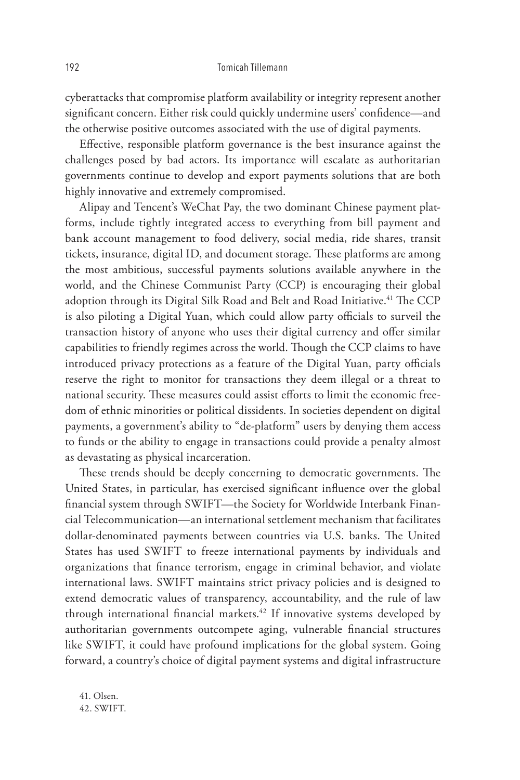cyberattacks that compromise platform availability or integrity represent another significant concern. Either risk could quickly undermine users' confidence—and the otherwise positive outcomes associated with the use of digital payments.

Effective, responsible platform governance is the best insurance against the challenges posed by bad actors. Its importance will escalate as authoritarian governments continue to develop and export payments solutions that are both highly innovative and extremely compromised.

Alipay and Tencent's WeChat Pay, the two dominant Chinese payment platforms, include tightly integrated access to everything from bill payment and bank account management to food delivery, social media, ride shares, transit tickets, insurance, digital ID, and document storage. These platforms are among the most ambitious, successful payments solutions available anywhere in the world, and the Chinese Communist Party (CCP) is encouraging their global adoption through its Digital Silk Road and Belt and Road Initiative.<sup>41</sup> The CCP is also piloting a Digital Yuan, which could allow party officials to surveil the transaction history of anyone who uses their digital currency and offer similar capabilities to friendly regimes across the world. Though the CCP claims to have introduced privacy protections as a feature of the Digital Yuan, party officials reserve the right to monitor for transactions they deem illegal or a threat to national security. These measures could assist efforts to limit the economic freedom of ethnic minorities or political dissidents. In societies dependent on digital payments, a government's ability to "de-platform" users by denying them access to funds or the ability to engage in transactions could provide a penalty almost as devastating as physical incarceration.

These trends should be deeply concerning to democratic governments. The United States, in particular, has exercised significant influence over the global financial system through SWIFT—the Society for Worldwide Interbank Financial Telecommunication—an international settlement mechanism that facilitates dollar-denominated payments between countries via U.S. banks. The United States has used SWIFT to freeze international payments by individuals and organizations that finance terrorism, engage in criminal behavior, and violate international laws. SWIFT maintains strict privacy policies and is designed to extend democratic values of transparency, accountability, and the rule of law through international financial markets.<sup>42</sup> If innovative systems developed by authoritarian governments outcompete aging, vulnerable financial structures like SWIFT, it could have profound implications for the global system. Going forward, a country's choice of digital payment systems and digital infrastructure

41. Olsen. 42. SWIFT.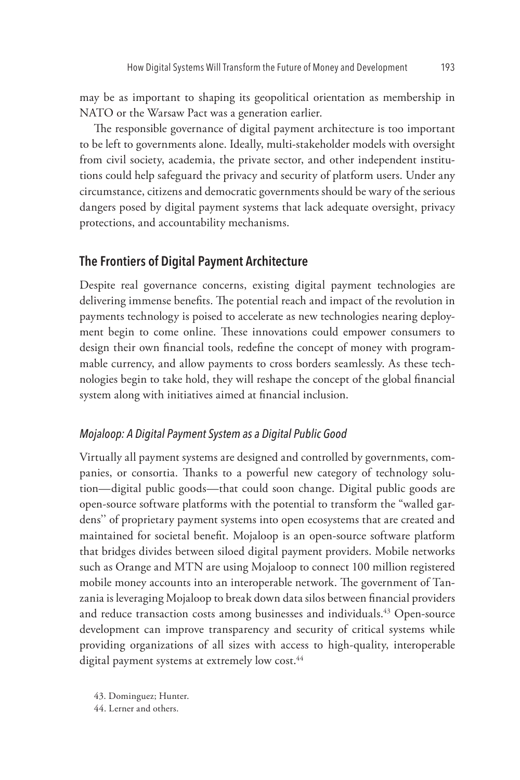may be as important to shaping its geopolitical orientation as membership in NATO or the Warsaw Pact was a generation earlier.

The responsible governance of digital payment architecture is too important to be left to governments alone. Ideally, multi-stakeholder models with oversight from civil society, academia, the private sector, and other independent institutions could help safeguard the privacy and security of platform users. Under any circumstance, citizens and democratic governments should be wary of the serious dangers posed by digital payment systems that lack adequate oversight, privacy protections, and accountability mechanisms.

## **The Frontiers of Digital Payment Architecture**

Despite real governance concerns, existing digital payment technologies are delivering immense benefits. The potential reach and impact of the revolution in payments technology is poised to accelerate as new technologies nearing deployment begin to come online. These innovations could empower consumers to design their own financial tools, redefine the concept of money with programmable currency, and allow payments to cross borders seamlessly. As these technologies begin to take hold, they will reshape the concept of the global financial system along with initiatives aimed at financial inclusion.

#### *Mojaloop: A Digital Payment System as a Digital Public Good*

Virtually all payment systems are designed and controlled by governments, companies, or consortia. Thanks to a powerful new category of technology solution—digital public goods—that could soon change. Digital public goods are open-source software platforms with the potential to transform the "walled gardens'' of proprietary payment systems into open ecosystems that are created and maintained for societal benefit. Mojaloop is an open-source software platform that bridges divides between siloed digital payment providers. Mobile networks such as Orange and MTN are using Mojaloop to connect 100 million registered mobile money accounts into an interoperable network. The government of Tanzania is leveraging Mojaloop to break down data silos between financial providers and reduce transaction costs among businesses and individuals.<sup>43</sup> Open-source development can improve transparency and security of critical systems while providing organizations of all sizes with access to high-quality, interoperable digital payment systems at extremely low cost.<sup>44</sup>

43. Dominguez; Hunter.

44. Lerner and others.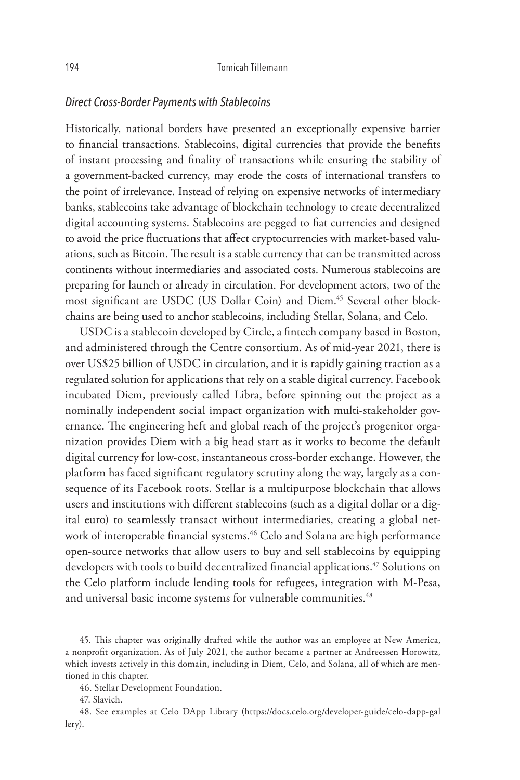#### *Direct Cross-Border Payments with Stablecoins*

Historically, national borders have presented an exceptionally expensive barrier to financial transactions. Stablecoins, digital currencies that provide the benefits of instant processing and finality of transactions while ensuring the stability of a government-backed currency, may erode the costs of international transfers to the point of irrelevance. Instead of relying on expensive networks of intermediary banks, stablecoins take advantage of blockchain technology to create decentralized digital accounting systems. Stablecoins are pegged to fiat currencies and designed to avoid the price fluctuations that affect cryptocurrencies with market-based valuations, such as Bitcoin. The result is a stable currency that can be transmitted across continents without intermediaries and associated costs. Numerous stablecoins are preparing for launch or already in circulation. For development actors, two of the most significant are USDC (US Dollar Coin) and Diem.<sup>45</sup> Several other blockchains are being used to anchor stablecoins, including Stellar, Solana, and Celo.

USDC is a stablecoin developed by Circle, a fintech company based in Boston, and administered through the Centre consortium. As of mid-year 2021, there is over US\$25 billion of USDC in circulation, and it is rapidly gaining traction as a regulated solution for applications that rely on a stable digital currency. Facebook incubated Diem, previously called Libra, before spinning out the project as a nominally independent social impact organization with multi-stakeholder governance. The engineering heft and global reach of the project's progenitor organization provides Diem with a big head start as it works to become the default digital currency for low-cost, instantaneous cross-border exchange. However, the platform has faced significant regulatory scrutiny along the way, largely as a consequence of its Facebook roots. Stellar is a multipurpose blockchain that allows users and institutions with different stablecoins (such as a digital dollar or a digital euro) to seamlessly transact without intermediaries, creating a global network of interoperable financial systems.<sup>46</sup> Celo and Solana are high performance open-source networks that allow users to buy and sell stablecoins by equipping developers with tools to build decentralized financial applications.<sup>47</sup> Solutions on the Celo platform include lending tools for refugees, integration with M-Pesa, and universal basic income systems for vulnerable communities.<sup>48</sup>

45. This chapter was originally drafted while the author was an employee at New America, a nonprofit organization. As of July 2021, the author became a partner at Andreessen Horowitz, which invests actively in this domain, including in Diem, Celo, and Solana, all of which are mentioned in this chapter.

46. Stellar Development Foundation.

47. Slavich.

48. See examples at Celo DApp Library (https://docs.celo.org/developer-guide/celo-dapp-gal lery).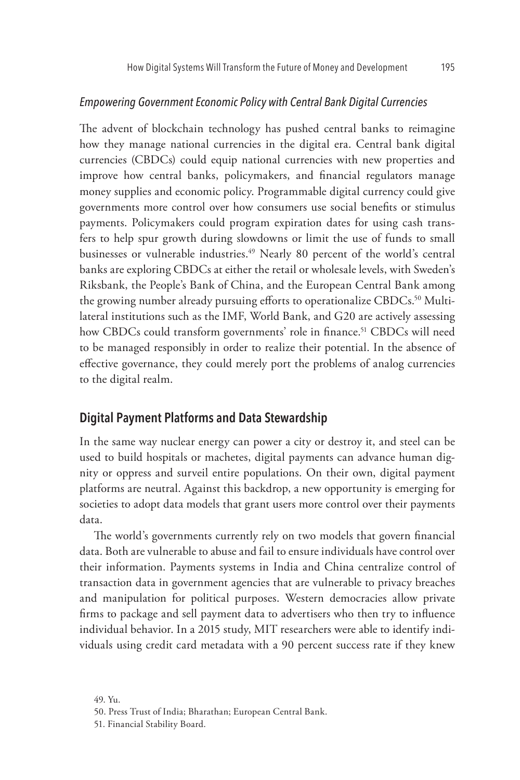#### *Empowering Government Economic Policy with Central Bank Digital Currencies*

The advent of blockchain technology has pushed central banks to reimagine how they manage national currencies in the digital era. Central bank digital currencies (CBDCs) could equip national currencies with new properties and improve how central banks, policymakers, and financial regulators manage money supplies and economic policy. Programmable digital currency could give governments more control over how consumers use social benefits or stimulus payments. Policymakers could program expiration dates for using cash transfers to help spur growth during slowdowns or limit the use of funds to small businesses or vulnerable industries.<sup>49</sup> Nearly 80 percent of the world's central banks are exploring CBDCs at either the retail or wholesale levels, with Sweden's Riksbank, the People's Bank of China, and the European Central Bank among the growing number already pursuing efforts to operationalize CBDCs.<sup>50</sup> Multilateral institutions such as the IMF, World Bank, and G20 are actively assessing how CBDCs could transform governments' role in finance.<sup>51</sup> CBDCs will need to be managed responsibly in order to realize their potential. In the absence of effective governance, they could merely port the problems of analog currencies to the digital realm.

## **Digital Payment Platforms and Data Stewardship**

In the same way nuclear energy can power a city or destroy it, and steel can be used to build hospitals or machetes, digital payments can advance human dignity or oppress and surveil entire populations. On their own, digital payment platforms are neutral. Against this backdrop, a new opportunity is emerging for societies to adopt data models that grant users more control over their payments data.

The world's governments currently rely on two models that govern financial data. Both are vulnerable to abuse and fail to ensure individuals have control over their information. Payments systems in India and China centralize control of transaction data in government agencies that are vulnerable to privacy breaches and manipulation for political purposes. Western democracies allow private firms to package and sell payment data to advertisers who then try to influence individual behavior. In a 2015 study, MIT researchers were able to identify individuals using credit card metadata with a 90 percent success rate if they knew

<sup>49.</sup> Yu.

<sup>50.</sup> Press Trust of India; Bharathan; European Central Bank.

<sup>51.</sup> Financial Stability Board.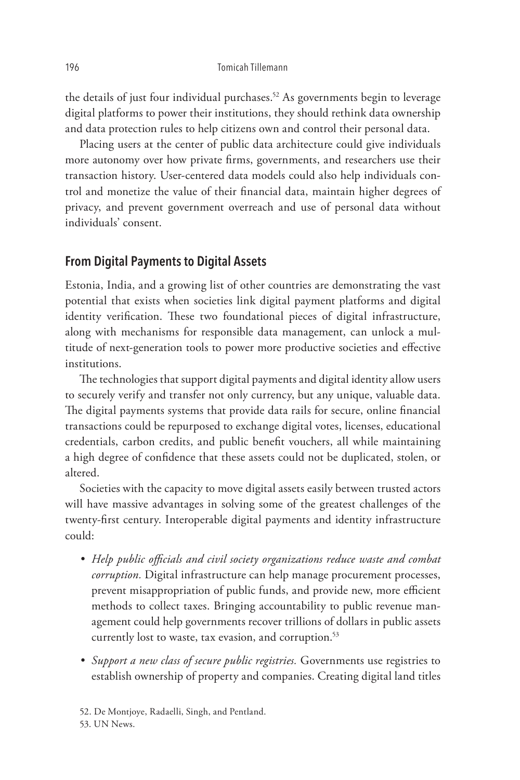the details of just four individual purchases.<sup>52</sup> As governments begin to leverage digital platforms to power their institutions, they should rethink data ownership and data protection rules to help citizens own and control their personal data.

Placing users at the center of public data architecture could give individuals more autonomy over how private firms, governments, and researchers use their transaction history. User-centered data models could also help individuals control and monetize the value of their financial data, maintain higher degrees of privacy, and prevent government overreach and use of personal data without individuals' consent.

## **From Digital Payments to Digital Assets**

Estonia, India, and a growing list of other countries are demonstrating the vast potential that exists when societies link digital payment platforms and digital identity verification. These two foundational pieces of digital infrastructure, along with mechanisms for responsible data management, can unlock a multitude of next-generation tools to power more productive societies and effective institutions.

The technologies that support digital payments and digital identity allow users to securely verify and transfer not only currency, but any unique, valuable data. The digital payments systems that provide data rails for secure, online financial transactions could be repurposed to exchange digital votes, licenses, educational credentials, carbon credits, and public benefit vouchers, all while maintaining a high degree of confidence that these assets could not be duplicated, stolen, or altered.

Societies with the capacity to move digital assets easily between trusted actors will have massive advantages in solving some of the greatest challenges of the twenty-first century. Interoperable digital payments and identity infrastructure could:

- *Help public officials and civil society organizations reduce waste and combat corruption.* Digital infrastructure can help manage procurement processes, prevent misappropriation of public funds, and provide new, more efficient methods to collect taxes. Bringing accountability to public revenue management could help governments recover trillions of dollars in public assets currently lost to waste, tax evasion, and corruption.<sup>53</sup>
- *Support a new class of secure public registries.* Governments use registries to establish ownership of property and companies. Creating digital land titles

52. De Montjoye, Radaelli, Singh, and Pentland. 53. UN News.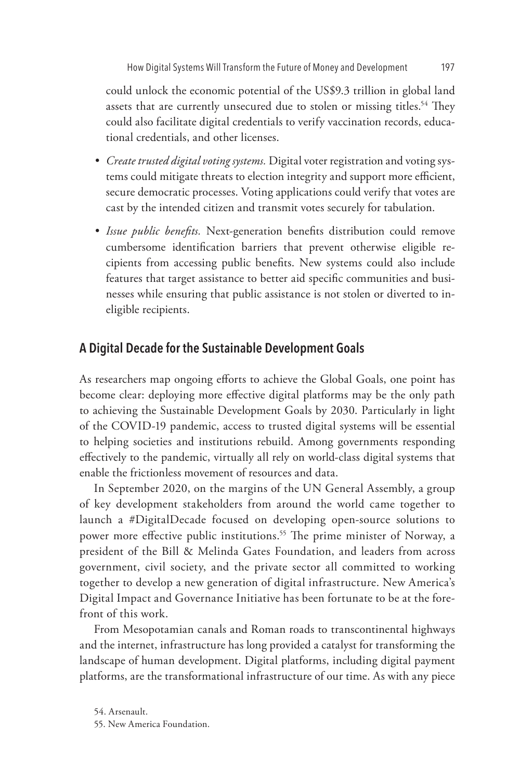could unlock the economic potential of the US\$9.3 trillion in global land assets that are currently unsecured due to stolen or missing titles.<sup>54</sup> They could also facilitate digital credentials to verify vaccination records, educational credentials, and other licenses.

- *Create trusted digital voting systems.* Digital voter registration and voting systems could mitigate threats to election integrity and support more efficient, secure democratic processes. Voting applications could verify that votes are cast by the intended citizen and transmit votes securely for tabulation.
- *Issue public benefits.* Next-generation benefits distribution could remove cumbersome identification barriers that prevent otherwise eligible recipients from accessing public benefits. New systems could also include features that target assistance to better aid specific communities and businesses while ensuring that public assistance is not stolen or diverted to ineligible recipients.

## **A Digital Decade for the Sustainable Development Goals**

As researchers map ongoing efforts to achieve the Global Goals, one point has become clear: deploying more effective digital platforms may be the only path to achieving the Sustainable Development Goals by 2030. Particularly in light of the COVID-19 pandemic, access to trusted digital systems will be essential to helping societies and institutions rebuild. Among governments responding effectively to the pandemic, virtually all rely on world-class digital systems that enable the frictionless movement of resources and data.

In September 2020, on the margins of the UN General Assembly, a group of key development stakeholders from around the world came together to launch a #DigitalDecade focused on developing open-source solutions to power more effective public institutions.<sup>55</sup> The prime minister of Norway, a president of the Bill & Melinda Gates Foundation, and leaders from across government, civil society, and the private sector all committed to working together to develop a new generation of digital infrastructure. New America's Digital Impact and Governance Initiative has been fortunate to be at the forefront of this work.

From Mesopotamian canals and Roman roads to transcontinental highways and the internet, infrastructure has long provided a catalyst for transforming the landscape of human development. Digital platforms, including digital payment platforms, are the transformational infrastructure of our time. As with any piece

<sup>54.</sup> Arsenault. 55. New America Foundation.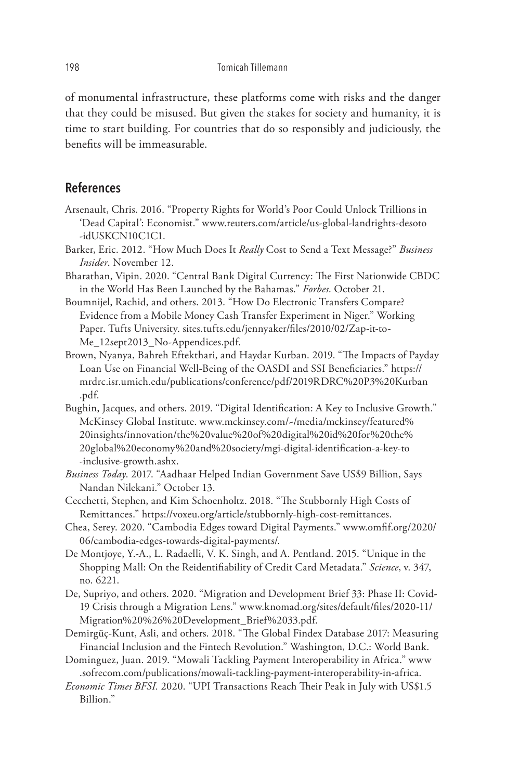of monumental infrastructure, these platforms come with risks and the danger that they could be misused. But given the stakes for society and humanity, it is time to start building. For countries that do so responsibly and judiciously, the benefits will be immeasurable.

## **References**

- Arsenault, Chris. 2016. "Property Rights for World's Poor Could Unlock Trillions in 'Dead Capital': Economist." www.reuters.com/article/us-global-landrights-desoto -idUSKCN10C1C1.
- Barker, Eric. 2012. "How Much Does It *Really* Cost to Send a Text Message?" *Business Insider*. November 12.
- Bharathan, Vipin. 2020. "Central Bank Digital Currency: The First Nationwide CBDC in the World Has Been Launched by the Bahamas." *Forbes*. October 21.
- Boumnijel, Rachid, and others. 2013. "How Do Electronic Transfers Compare? Evidence from a Mobile Money Cash Transfer Experiment in Niger." Working Paper. Tufts University. sites.tufts.edu/jennyaker/files/2010/02/Zap-it-to-Me\_12sept2013\_No-Appendices.pdf.
- Brown, Nyanya, Bahreh Eftekthari, and Haydar Kurban. 2019. "The Impacts of Payday Loan Use on Financial Well-Being of the OASDI and SSI Beneficiaries." https:// mrdrc.isr.umich.edu/publications/conference/pdf/2019RDRC%20P3%20Kurban .pdf.
- Bughin, Jacques, and others. 2019. "Digital Identification: A Key to Inclusive Growth." McKinsey Global Institute. www.mckinsey.com/~/media/mckinsey/featured% 20insights/innovation/the%20value%20of%20digital%20id%20for%20the% 20global%20economy%20and%20society/mgi-digital-identification-a-key-to -inclusive-growth.ashx.
- *Business Today*. 2017. "Aadhaar Helped Indian Government Save US\$9 Billion, Says Nandan Nilekani." October 13.
- Cecchetti, Stephen, and Kim Schoenholtz. 2018. "The Stubbornly High Costs of Remittances." https://voxeu.org/article/stubbornly-high-cost-remittances.
- Chea, Serey. 2020. "Cambodia Edges toward Digital Payments." www.omfif.org/2020/ 06/cambodia-edges-towards-digital-payments/.
- De Montjoye, Y.-A., L. Radaelli, V. K. Singh, and A. Pentland. 2015. "Unique in the Shopping Mall: On the Reidentifiability of Credit Card Metadata." *Science*, v. 347, no. 6221.
- De, Supriyo, and others. 2020. "Migration and Development Brief 33: Phase II: Covid-19 Crisis through a Migration Lens." www.knomad.org/sites/default/files/2020-11/ Migration%20%26%20Development\_Brief%2033.pdf.
- Demirgüç-Kunt, Asli, and others. 2018. "The Global Findex Database 2017: Measuring Financial Inclusion and the Fintech Revolution." Washington, D.C.: World Bank.
- Dominguez, Juan. 2019. "Mowali Tackling Payment Interoperability in Africa." www .sofrecom.com/publications/mowali-tackling-payment-interoperability-in-africa.
- *Economic Times BFSI.* 2020. "UPI Transactions Reach Their Peak in July with US\$1.5 Billion."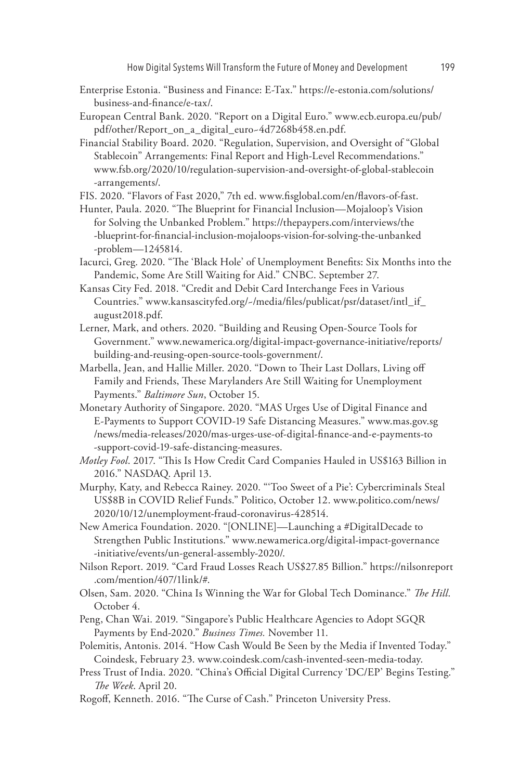How Digital Systems Will Transform the Future of Money and Development 199

- Enterprise Estonia. "Business and Finance: E-Tax." https://e-estonia.com/solutions/ business-and-finance/e-tax/.
- European Central Bank. 2020. "Report on a Digital Euro." www.ecb.europa.eu/pub/ pdf/other/Report\_on\_a\_digital\_euro~4d7268b458.en.pdf.
- Financial Stability Board. 2020. "Regulation, Supervision, and Oversight of "Global Stablecoin" Arrangements: Final Report and High-Level Recommendations." www.fsb.org/2020/10/regulation-supervision-and-oversight-of-global-stablecoin -arrangements/.
- FIS. 2020. "Flavors of Fast 2020," 7th ed. www.fisglobal.com/en/flavors-of-fast.
- Hunter, Paula. 2020. "The Blueprint for Financial Inclusion—Mojaloop's Vision for Solving the Unbanked Problem." https://thepaypers.com/interviews/the -blueprint-for-financial-inclusion-mojaloops-vision-for-solving-the-unbanked -problem—1245814.
- Iacurci, Greg. 2020. "The 'Black Hole' of Unemployment Benefits: Six Months into the Pandemic, Some Are Still Waiting for Aid." CNBC. September 27.
- Kansas City Fed. 2018. "Credit and Debit Card Interchange Fees in Various Countries." www.kansascityfed.org/~/media/files/publicat/psr/dataset/intl\_if\_ august2018.pdf.
- Lerner, Mark, and others. 2020. "Building and Reusing Open-Source Tools for Government." www.newamerica.org/digital-impact-governance-initiative/reports/ building-and-reusing-open-source-tools-government/.
- Marbella, Jean, and Hallie Miller. 2020. "Down to Their Last Dollars, Living off Family and Friends, These Marylanders Are Still Waiting for Unemployment Payments." *Baltimore Sun*, October 15.
- Monetary Authority of Singapore. 2020. "MAS Urges Use of Digital Finance and E-Payments to Support COVID-19 Safe Distancing Measures." www.mas.gov.sg /news/media-releases/2020/mas-urges-use-of-digital-finance-and-e-payments-to -support-covid-19-safe-distancing-measures.
- *Motley Fool*. 2017. "This Is How Credit Card Companies Hauled in US\$163 Billion in 2016." NASDAQ. April 13.
- Murphy, Katy, and Rebecca Rainey. 2020. "'Too Sweet of a Pie': Cybercriminals Steal US\$8B in COVID Relief Funds." Politico, October 12. www.politico.com/news/ 2020/10/12/unemployment-fraud-coronavirus-428514.
- New America Foundation. 2020. "[ONLINE]—Launching a #DigitalDecade to Strengthen Public Institutions." www.newamerica.org/digital-impact-governance -initiative/events/un-general-assembly-2020/.
- Nilson Report. 2019. "Card Fraud Losses Reach US\$27.85 Billion." https://nilsonreport .com/mention/407/1link/#.
- Olsen, Sam. 2020. "China Is Winning the War for Global Tech Dominance." *The Hill*. October 4.
- Peng, Chan Wai. 2019. "Singapore's Public Healthcare Agencies to Adopt SGQR Payments by End-2020." *Business Times.* November 11.
- Polemitis, Antonis. 2014. "How Cash Would Be Seen by the Media if Invented Today." Coindesk, February 23. www.coindesk.com/cash-invented-seen-media-today.
- Press Trust of India. 2020. "China's Official Digital Currency 'DC/EP' Begins Testing." *The Week*. April 20.
- Rogoff, Kenneth. 2016. "The Curse of Cash." Princeton University Press.